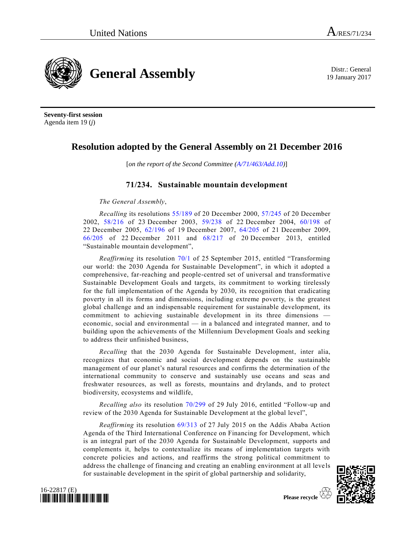

19 January 2017

**Seventy-first session** Agenda item 19 (*j*)

## **Resolution adopted by the General Assembly on 21 December 2016**

[*on the report of the Second Committee [\(A/71/463/Add.10\)](http://undocs.org/A/71/463/Add.10)*]

## **71/234. Sustainable mountain development**

*The General Assembly*,

*Recalling* its resolutions [55/189](http://undocs.org/A/RES/55/189) of 20 December 2000, [57/245](http://undocs.org/A/RES/57/245) of 20 December 2002, [58/216](http://undocs.org/A/RES/58/216) of 23 December 2003, [59/238](http://undocs.org/A/RES/59/238) of 22 December 2004, [60/198](http://undocs.org/A/RES/60/198) of 22 December 2005, [62/196](http://undocs.org/A/RES/62/196) of 19 December 2007, [64/205](http://undocs.org/A/RES/64/205) of 21 December 2009, [66/205](http://undocs.org/A/RES/66/205) of 22 December 2011 and [68/217](http://undocs.org/A/RES/68/217) of 20 December 2013, entitled "Sustainable mountain development",

*Reaffirming* its resolution [70/1](http://undocs.org/A/RES/70/1) of 25 September 2015, entitled "Transforming our world: the 2030 Agenda for Sustainable Development", in which it adopted a comprehensive, far-reaching and people-centred set of universal and transformative Sustainable Development Goals and targets, its commitment to working tirelessly for the full implementation of the Agenda by 2030, its recognition that eradicating poverty in all its forms and dimensions, including extreme poverty, is the greatest global challenge and an indispensable requirement for sustainable development, its commitment to achieving sustainable development in its three dimensions economic, social and environmental — in a balanced and integrated manner, and to building upon the achievements of the Millennium Development Goals and seeking to address their unfinished business,

*Recalling* that the 2030 Agenda for Sustainable Development, inter alia, recognizes that economic and social development depends on the sustainable management of our planet's natural resources and confirms the determination of the international community to conserve and sustainably use oceans and seas and freshwater resources, as well as forests, mountains and drylands, and to protect biodiversity, ecosystems and wildlife,

*Recalling also* its resolution [70/299](http://undocs.org/A/RES/70/299) of 29 July 2016, entitled "Follow-up and review of the 2030 Agenda for Sustainable Development at the global level",

*Reaffirming* its resolution [69/313](http://undocs.org/A/RES/69/313) of 27 July 2015 on the Addis Ababa Action Agenda of the Third International Conference on Financing for Development, which is an integral part of the 2030 Agenda for Sustainable Development, supports and complements it, helps to contextualize its means of implementation targets with concrete policies and actions, and reaffirms the strong political commitment to address the challenge of financing and creating an enabling environment at all leve ls for sustainable development in the spirit of global partnership and solidarity,



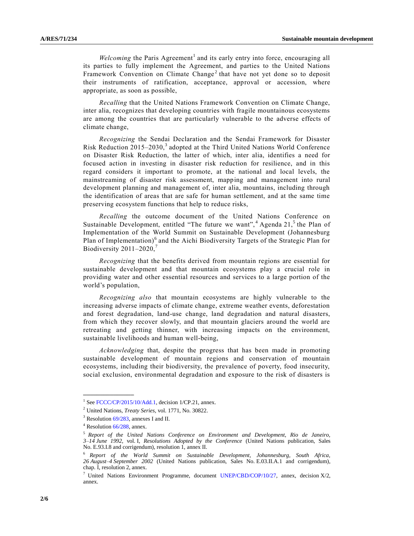Welcoming the Paris Agreement<sup>1</sup> and its early entry into force, encouraging all its parties to fully implement the Agreement, and parties to the United Nations Framework Convention on Climate Change<sup>2</sup> that have not yet done so to deposit their instruments of ratification, acceptance, approval or accession, where appropriate, as soon as possible,

*Recalling* that the United Nations Framework Convention on Climate Change, inter alia, recognizes that developing countries with fragile mountainous ecosystems are among the countries that are particularly vulnerable to the adverse effects of climate change,

*Recognizing* the Sendai Declaration and the Sendai Framework for Disaster Risk Reduction 2015–2030,<sup>3</sup> adopted at the Third United Nations World Conference on Disaster Risk Reduction, the latter of which, inter alia, identifies a need for focused action in investing in disaster risk reduction for resilience, and in this regard considers it important to promote, at the national and local levels, the mainstreaming of disaster risk assessment, mapping and management into rural development planning and management of, inter alia, mountains, including through the identification of areas that are safe for human settlement, and at the same time preserving ecosystem functions that help to reduce risks,

*Recalling* the outcome document of the United Nations Conference on Sustainable Development, entitled "The future we want",  $4$  Agenda 21, $5$  the Plan of Implementation of the World Summit on Sustainable Development (Johannesburg Plan of Implementation)<sup>6</sup> and the Aichi Biodiversity Targets of the Strategic Plan for Biodiversity  $2011-2020$ ,<sup>7</sup>

*Recognizing* that the benefits derived from mountain regions are essential for sustainable development and that mountain ecosystems play a crucial role in providing water and other essential resources and services to a large portion of the world's population,

*Recognizing also* that mountain ecosystems are highly vulnerable to the increasing adverse impacts of climate change, extreme weather events, deforestation and forest degradation, land-use change, land degradation and natural disasters, from which they recover slowly, and that mountain glaciers around the world are retreating and getting thinner, with increasing impacts on the environment, sustainable livelihoods and human well-being,

*Acknowledging* that, despite the progress that has been made in promoting sustainable development of mountain regions and conservation of mountain ecosystems, including their biodiversity, the prevalence of poverty, food insecurity, social exclusion, environmental degradation and exposure to the risk of disasters is

<sup>&</sup>lt;sup>1</sup> Se[e FCCC/CP/2015/10/Add.1,](http://undocs.org/FCCC/CP/2015/10/Add.1) decision 1/CP.21, annex.

<sup>2</sup> United Nations, *Treaty Series*, vol. 1771, No. 30822.

<sup>&</sup>lt;sup>3</sup> Resolution [69/283,](http://undocs.org/A/RES/69/283) annexes I and II.

 $4$  Resolution  $66/288$ , annex.

<sup>5</sup> *Report of the United Nations Conference on Environment and Development, Rio de Janeiro, 3–14 June 1992*, vol. I, *Resolutions Adopted by the Conference* (United Nations publication, Sales No. E.93.I.8 and corrigendum), resolution 1, annex II.

<sup>6</sup> *Report of the World Summit on Sustainable Development, Johannesburg, South Africa, 26 August–4 September 2002* (United Nations publication, Sales No. E.03.II.A.1 and corrigendum), chap. I, resolution 2, annex.

<sup>&</sup>lt;sup>7</sup> United Nations Environment Programme, document [UNEP/CBD/COP/10/27,](http://undocs.org/UNEP/CBD/COP/10/27) annex, decision X/2, annex.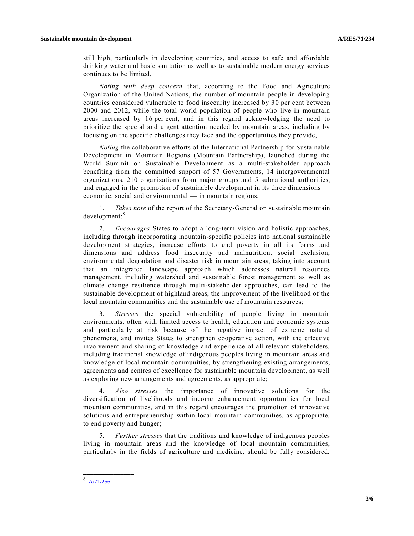still high, particularly in developing countries, and access to safe and affordable drinking water and basic sanitation as well as to sustainable modern energy services continues to be limited,

*Noting with deep concern* that, according to the Food and Agriculture Organization of the United Nations, the number of mountain people in developing countries considered vulnerable to food insecurity increased by 30 per cent between 2000 and 2012, while the total world population of people who live in mountain areas increased by 16 per cent, and in this regard acknowledging the need to prioritize the special and urgent attention needed by mountain areas, including by focusing on the specific challenges they face and the opportunities they provide,

*Noting* the collaborative efforts of the International Partnership for Sustainable Development in Mountain Regions (Mountain Partnership), launched during the World Summit on Sustainable Development as a multi-stakeholder approach benefiting from the committed support of 57 Governments, 14 intergovernmental organizations, 210 organizations from major groups and 5 subnational authorities, and engaged in the promotion of sustainable development in its three dimensions economic, social and environmental — in mountain regions,

1. *Takes note* of the report of the Secretary-General on sustainable mountain development;<sup>8</sup>

2. *Encourages* States to adopt a long-term vision and holistic approaches, including through incorporating mountain-specific policies into national sustainable development strategies, increase efforts to end poverty in all its forms and dimensions and address food insecurity and malnutrition, social exclusion, environmental degradation and disaster risk in mountain areas, taking into account that an integrated landscape approach which addresses natural resources management, including watershed and sustainable forest management as well as climate change resilience through multi-stakeholder approaches, can lead to the sustainable development of highland areas, the improvement of the livelihood of the local mountain communities and the sustainable use of mountain resources;

3. *Stresses* the special vulnerability of people living in mountain environments, often with limited access to health, education and economic systems and particularly at risk because of the negative impact of extreme natural phenomena, and invites States to strengthen cooperative action, with the effective involvement and sharing of knowledge and experience of all relevant stakeholders, including traditional knowledge of indigenous peoples living in mountain areas and knowledge of local mountain communities, by strengthening existing arrangements, agreements and centres of excellence for sustainable mountain development, as well as exploring new arrangements and agreements, as appropriate;

4. *Also stresses* the importance of innovative solutions for the diversification of livelihoods and income enhancement opportunities for local mountain communities, and in this regard encourages the promotion of innovative solutions and entrepreneurship within local mountain communities, as appropriate, to end poverty and hunger;

5. *Further stresses* that the traditions and knowledge of indigenous peoples living in mountain areas and the knowledge of local mountain communities, particularly in the fields of agriculture and medicine, should be fully considered,

<sup>8</sup> [A/71/256.](http://undocs.org/A/71/256)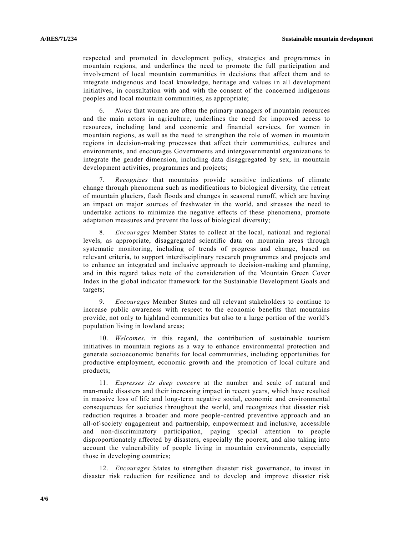respected and promoted in development policy, strategies and programmes in mountain regions, and underlines the need to promote the full participation and involvement of local mountain communities in decisions that affect them and to integrate indigenous and local knowledge, heritage and values in all development initiatives, in consultation with and with the consent of the concerned indigenous peoples and local mountain communities, as appropriate;

6. *Notes* that women are often the primary managers of mountain resources and the main actors in agriculture, underlines the need for improved access to resources, including land and economic and financial services, for women in mountain regions, as well as the need to strengthen the role of women in mountain regions in decision-making processes that affect their communities, cultures and environments, and encourages Governments and intergovernmental organizations to integrate the gender dimension, including data disaggregated by sex, in mountain development activities, programmes and projects;

7. *Recognizes* that mountains provide sensitive indications of climate change through phenomena such as modifications to biological diversity, the retreat of mountain glaciers, flash floods and changes in seasonal runoff, which are having an impact on major sources of freshwater in the world, and stresses the need to undertake actions to minimize the negative effects of these phenomena, promote adaptation measures and prevent the loss of biological diversity;

8. *Encourages* Member States to collect at the local, national and regional levels, as appropriate, disaggregated scientific data on mountain areas through systematic monitoring, including of trends of progress and change, based on relevant criteria, to support interdisciplinary research programmes and projec ts and to enhance an integrated and inclusive approach to decision-making and planning, and in this regard takes note of the consideration of the Mountain Green Cover Index in the global indicator framework for the Sustainable Development Goals and targets;

9. *Encourages* Member States and all relevant stakeholders to continue to increase public awareness with respect to the economic benefits that mountains provide, not only to highland communities but also to a large portion of the world's population living in lowland areas;

10. *Welcomes*, in this regard, the contribution of sustainable tourism initiatives in mountain regions as a way to enhance environmental protection and generate socioeconomic benefits for local communities, including opportunities for productive employment, economic growth and the promotion of local culture and products;

11. *Expresses its deep concern* at the number and scale of natural and man-made disasters and their increasing impact in recent years, which have resulted in massive loss of life and long-term negative social, economic and environmental consequences for societies throughout the world, and recognizes that disaster risk reduction requires a broader and more people-centred preventive approach and an all-of-society engagement and partnership, empowerment and inclusive, accessible and non-discriminatory participation, paying special attention to people disproportionately affected by disasters, especially the poorest, and also taking into account the vulnerability of people living in mountain environments, especially those in developing countries;

12. *Encourages* States to strengthen disaster risk governance, to invest in disaster risk reduction for resilience and to develop and improve disaster risk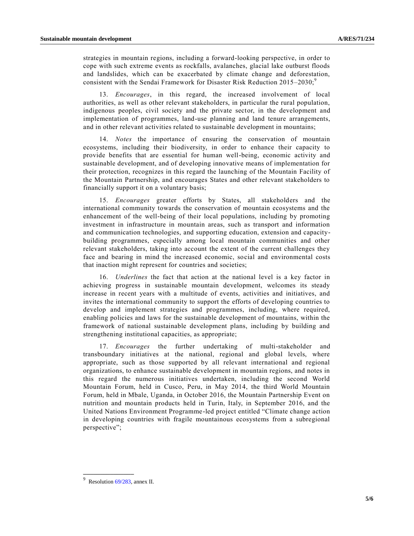strategies in mountain regions, including a forward-looking perspective, in order to cope with such extreme events as rockfalls, avalanches, glacial lake outburst floods and landslides, which can be exacerbated by climate change and deforestation, consistent with the Sendai Framework for Disaster Risk Reduction  $2015-2030$ ;<sup>9</sup>

13. *Encourages*, in this regard, the increased involvement of local authorities, as well as other relevant stakeholders, in particular the rural population, indigenous peoples, civil society and the private sector, in the development and implementation of programmes, land-use planning and land tenure arrangements, and in other relevant activities related to sustainable development in mountains;

14. *Notes* the importance of ensuring the conservation of mountain ecosystems, including their biodiversity, in order to enhance their capacity to provide benefits that are essential for human well-being, economic activity and sustainable development, and of developing innovative means of implementation for their protection, recognizes in this regard the launching of the Mountain Facility of the Mountain Partnership, and encourages States and other relevant stakeholders to financially support it on a voluntary basis;

15. *Encourages* greater efforts by States, all stakeholders and the international community towards the conservation of mountain ecosystems and the enhancement of the well-being of their local populations, including by promoting investment in infrastructure in mountain areas, such as transport and information and communication technologies, and supporting education, extension and capacitybuilding programmes, especially among local mountain communities and other relevant stakeholders, taking into account the extent of the current challenges they face and bearing in mind the increased economic, social and environmental costs that inaction might represent for countries and societies;

16. *Underlines* the fact that action at the national level is a key factor in achieving progress in sustainable mountain development, welcomes its steady increase in recent years with a multitude of events, activities and initiatives, and invites the international community to support the efforts of developing countries to develop and implement strategies and programmes, including, where required, enabling policies and laws for the sustainable development of mountains, within the framework of national sustainable development plans, including by building and strengthening institutional capacities, as appropriate;

17. *Encourages* the further undertaking of multi-stakeholder and transboundary initiatives at the national, regional and global levels, where appropriate, such as those supported by all relevant international and regional organizations, to enhance sustainable development in mountain regions, and notes in this regard the numerous initiatives undertaken, including the second World Mountain Forum, held in Cusco, Peru, in May 2014, the third World Mountain Forum, held in Mbale, Uganda, in October 2016, the Mountain Partnership Event on nutrition and mountain products held in Turin, Italy, in September 2016, and the United Nations Environment Programme-led project entitled "Climate change action in developing countries with fragile mountainous ecosystems from a subregional perspective";

 $9$  Resolution [69/283,](http://undocs.org/A/RES/69/283) annex II.